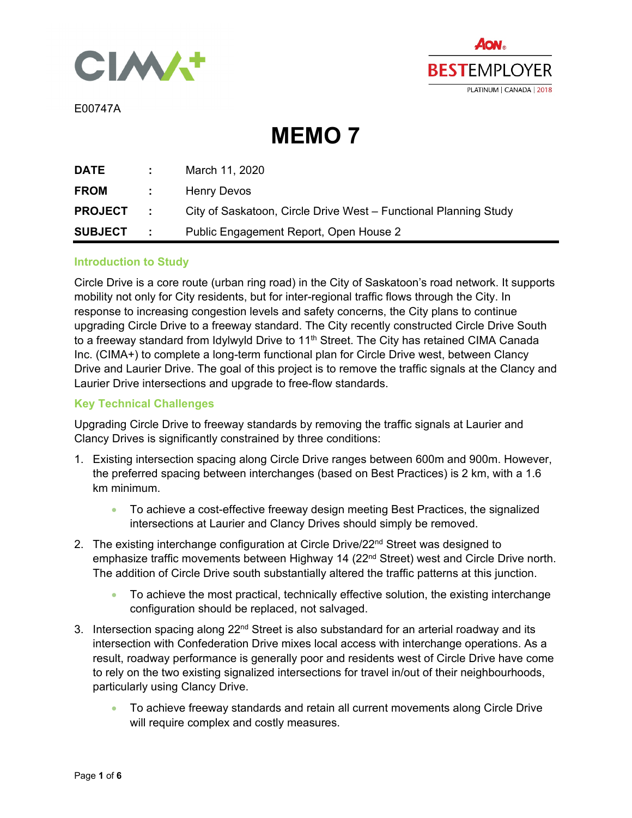



E00747A

**MEMO 7** 

| DATE             |                         | March 11, 2020                                                   |
|------------------|-------------------------|------------------------------------------------------------------|
| <b>FROM</b>      | <b>Control District</b> | Henry Devos                                                      |
| <b>PROJECT</b>   | <b>Contract</b>         | City of Saskatoon, Circle Drive West – Functional Planning Study |
| <b>SUBJECT :</b> |                         | Public Engagement Report, Open House 2                           |

### **Introduction to Study**

Circle Drive is a core route (urban ring road) in the City of Saskatoon's road network. It supports mobility not only for City residents, but for inter-regional traffic flows through the City. In response to increasing congestion levels and safety concerns, the City plans to continue upgrading Circle Drive to a freeway standard. The City recently constructed Circle Drive South to a freeway standard from Idylwyld Drive to 11<sup>th</sup> Street. The City has retained CIMA Canada Inc. (CIMA+) to complete a long-term functional plan for Circle Drive west, between Clancy Drive and Laurier Drive. The goal of this project is to remove the traffic signals at the Clancy and Laurier Drive intersections and upgrade to free-flow standards.

### **Key Technical Challenges**

Upgrading Circle Drive to freeway standards by removing the traffic signals at Laurier and Clancy Drives is significantly constrained by three conditions:

- 1. Existing intersection spacing along Circle Drive ranges between 600m and 900m. However, the preferred spacing between interchanges (based on Best Practices) is 2 km, with a 1.6 km minimum.
	- To achieve a cost-effective freeway design meeting Best Practices, the signalized intersections at Laurier and Clancy Drives should simply be removed.
- 2. The existing interchange configuration at Circle Drive/22<sup>nd</sup> Street was designed to emphasize traffic movements between Highway 14 (22<sup>nd</sup> Street) west and Circle Drive north. The addition of Circle Drive south substantially altered the traffic patterns at this junction.
	- To achieve the most practical, technically effective solution, the existing interchange configuration should be replaced, not salvaged.
- 3. Intersection spacing along 22<sup>nd</sup> Street is also substandard for an arterial roadway and its intersection with Confederation Drive mixes local access with interchange operations. As a result, roadway performance is generally poor and residents west of Circle Drive have come to rely on the two existing signalized intersections for travel in/out of their neighbourhoods, particularly using Clancy Drive.
	- To achieve freeway standards and retain all current movements along Circle Drive will require complex and costly measures.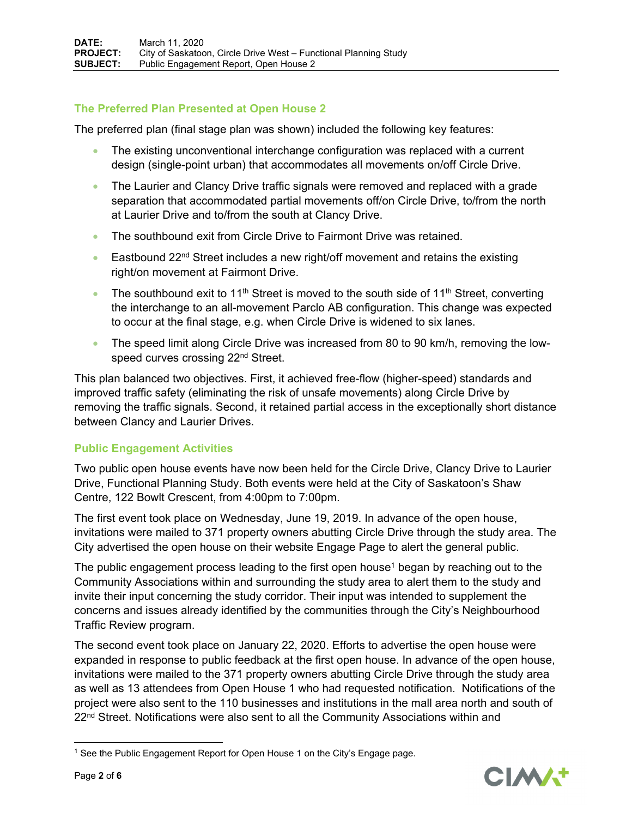# **The Preferred Plan Presented at Open House 2**

The preferred plan (final stage plan was shown) included the following key features:

- The existing unconventional interchange configuration was replaced with a current design (single-point urban) that accommodates all movements on/off Circle Drive.
- The Laurier and Clancy Drive traffic signals were removed and replaced with a grade separation that accommodated partial movements off/on Circle Drive, to/from the north at Laurier Drive and to/from the south at Clancy Drive.
- The southbound exit from Circle Drive to Fairmont Drive was retained.
- Eastbound  $22^{nd}$  Street includes a new right/off movement and retains the existing right/on movement at Fairmont Drive.
- The southbound exit to 11<sup>th</sup> Street is moved to the south side of 11<sup>th</sup> Street, converting the interchange to an all-movement Parclo AB configuration. This change was expected to occur at the final stage, e.g. when Circle Drive is widened to six lanes.
- The speed limit along Circle Drive was increased from 80 to 90 km/h, removing the lowspeed curves crossing 22<sup>nd</sup> Street.

This plan balanced two objectives. First, it achieved free-flow (higher-speed) standards and improved traffic safety (eliminating the risk of unsafe movements) along Circle Drive by removing the traffic signals. Second, it retained partial access in the exceptionally short distance between Clancy and Laurier Drives.

# **Public Engagement Activities**

Two public open house events have now been held for the Circle Drive, Clancy Drive to Laurier Drive, Functional Planning Study. Both events were held at the City of Saskatoon's Shaw Centre, 122 Bowlt Crescent, from 4:00pm to 7:00pm.

The first event took place on Wednesday, June 19, 2019. In advance of the open house, invitations were mailed to 371 property owners abutting Circle Drive through the study area. The City advertised the open house on their website Engage Page to alert the general public.

The public engagement process leading to the first open house<sup>1</sup> began by reaching out to the Community Associations within and surrounding the study area to alert them to the study and invite their input concerning the study corridor. Their input was intended to supplement the concerns and issues already identified by the communities through the City's Neighbourhood Traffic Review program.

The second event took place on January 22, 2020. Efforts to advertise the open house were expanded in response to public feedback at the first open house. In advance of the open house, invitations were mailed to the 371 property owners abutting Circle Drive through the study area as well as 13 attendees from Open House 1 who had requested notification. Notifications of the project were also sent to the 110 businesses and institutions in the mall area north and south of  $22<sup>nd</sup> Street. Notifications were also sent to all the Community Associations within and$ 



<sup>&</sup>lt;sup>1</sup> See the Public Engagement Report for Open House 1 on the City's Engage page.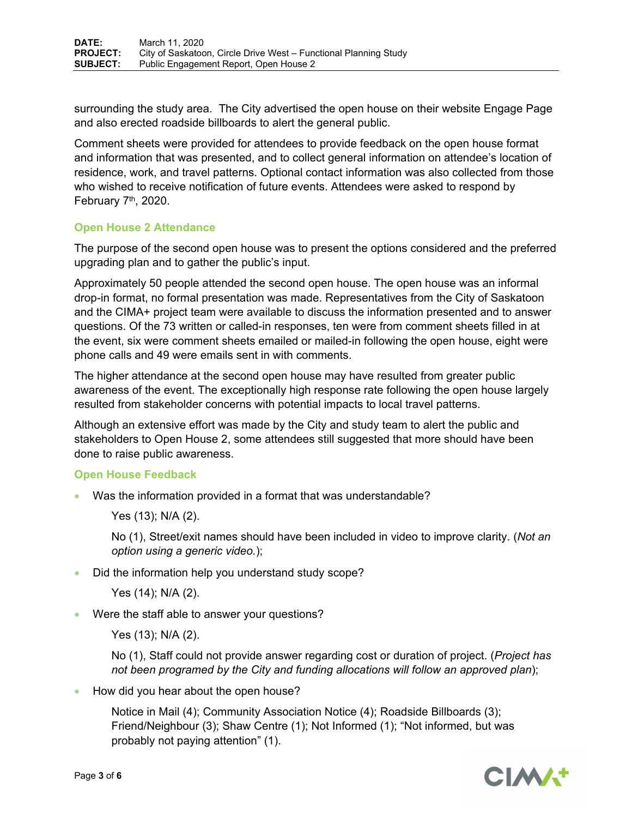surrounding the study area. The City advertised the open house on their website Engage Page and also erected roadside billboards to alert the general public.

Comment sheets were provided for attendees to provide feedback on the open house format and information that was presented, and to collect general information on attendee's location of residence, work, and travel patterns. Optional contact information was also collected from those who wished to receive notification of future events. Attendees were asked to respond by February  $7<sup>th</sup>$ , 2020.

# **Open House 2 Attendance**

The purpose of the second open house was to present the options considered and the preferred upgrading plan and to gather the public's input.

Approximately 50 people attended the second open house. The open house was an informal drop-in format, no formal presentation was made. Representatives from the City of Saskatoon and the CIMA+ project team were available to discuss the information presented and to answer questions. Of the 73 written or called-in responses, ten were from comment sheets filled in at the event, six were comment sheets emailed or mailed-in following the open house, eight were phone calls and 49 were emails sent in with comments.

The higher attendance at the second open house may have resulted from greater public awareness of the event. The exceptionally high response rate following the open house largely resulted from stakeholder concerns with potential impacts to local travel patterns.

Although an extensive effort was made by the City and study team to alert the public and stakeholders to Open House 2, some attendees still suggested that more should have been done to raise public awareness.

# **Open House Feedback**

Was the information provided in a format that was understandable?

Yes (13); N/A (2).

No (1), Street/exit names should have been included in video to improve clarity. (*Not an option using a generic video.*);

Did the information help you understand study scope?

Yes (14); N/A (2).

Were the staff able to answer your questions?

Yes (13); N/A (2).

No (1), Staff could not provide answer regarding cost or duration of project. (*Project has not been programed by the City and funding allocations will follow an approved plan*);

• How did you hear about the open house?

Notice in Mail (4); Community Association Notice (4); Roadside Billboards (3); Friend/Neighbour (3); Shaw Centre (1); Not Informed (1); "Not informed, but was probably not paying attention" (1).

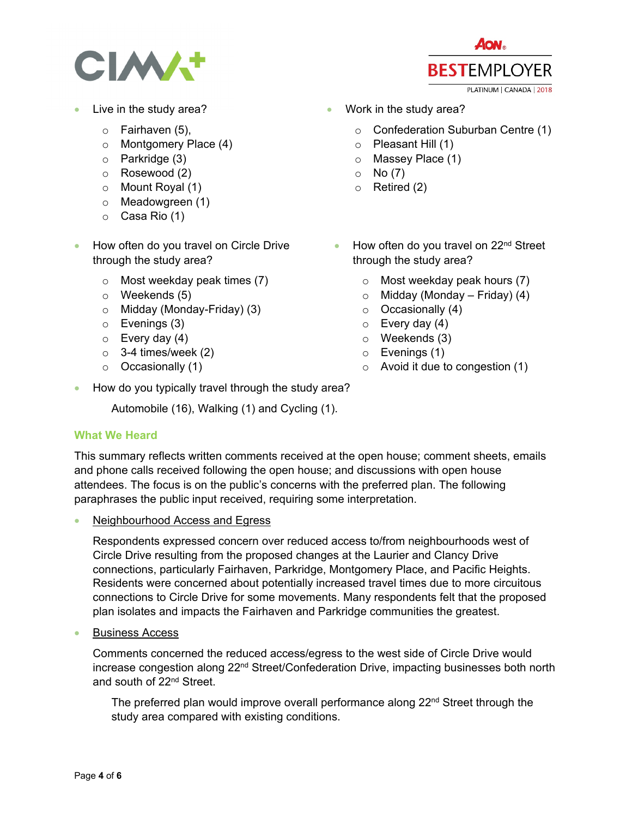

- Live in the study area?
	- o Fairhaven (5),
	- o Montgomery Place (4)
	- o Parkridge (3)
	- o Rosewood (2)
	- o Mount Royal (1)
	- o Meadowgreen (1)
	- o Casa Rio (1)
- How often do you travel on Circle Drive through the study area?
	- o Most weekday peak times (7)
	- o Weekends (5)
	- o Midday (Monday-Friday) (3)
	- o Evenings (3)
	- $\circ$  Every day (4)
	- $\circ$  3-4 times/week (2)
	- o Occasionally (1)
- **AON. BESTEMPLOYER** PLATINUM | CANADA | 2018
- **Work in the study area?** 
	- o Confederation Suburban Centre (1)
	- o Pleasant Hill (1)
	- o Massey Place (1)
	- $\circ$  No (7)
	- o Retired (2)
	- $\bullet$  How often do you travel on 22<sup>nd</sup> Street through the study area?
		- o Most weekday peak hours (7)
		- $\circ$  Midday (Monday Friday) (4)
		- $\circ$  Occasionally (4)
		- $\circ$  Every day (4)
		- o Weekends (3)
		- o Evenings (1)
		- $\circ$  Avoid it due to congestion (1)
- How do you typically travel through the study area?

Automobile (16), Walking (1) and Cycling (1).

# **What We Heard**

This summary reflects written comments received at the open house; comment sheets, emails and phone calls received following the open house; and discussions with open house attendees. The focus is on the public's concerns with the preferred plan. The following paraphrases the public input received, requiring some interpretation.

Neighbourhood Access and Egress

Respondents expressed concern over reduced access to/from neighbourhoods west of Circle Drive resulting from the proposed changes at the Laurier and Clancy Drive connections, particularly Fairhaven, Parkridge, Montgomery Place, and Pacific Heights. Residents were concerned about potentially increased travel times due to more circuitous connections to Circle Drive for some movements. Many respondents felt that the proposed plan isolates and impacts the Fairhaven and Parkridge communities the greatest.

Business Access

Comments concerned the reduced access/egress to the west side of Circle Drive would increase congestion along 22<sup>nd</sup> Street/Confederation Drive, impacting businesses both north and south of 22<sup>nd</sup> Street.

The preferred plan would improve overall performance along 22<sup>nd</sup> Street through the study area compared with existing conditions.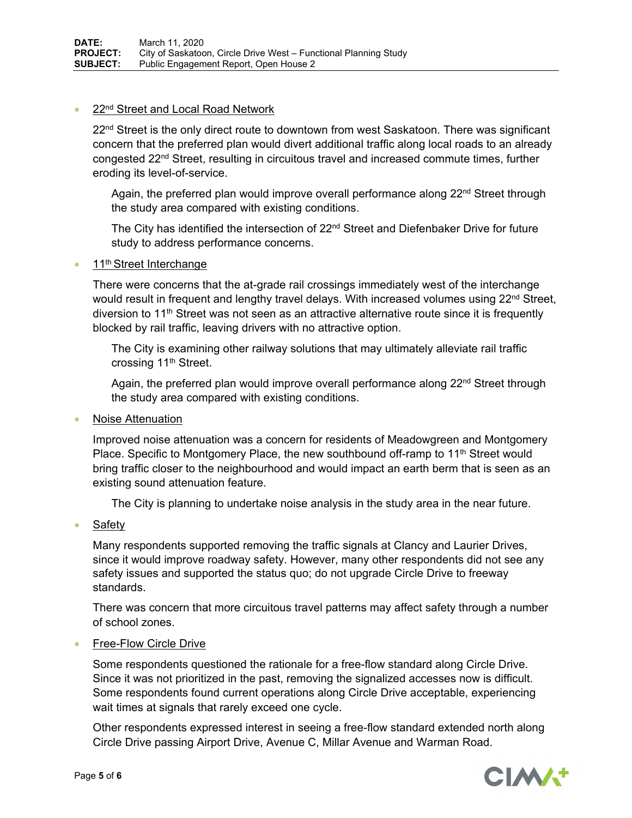#### 22<sup>nd</sup> Street and Local Road Network

 $22<sup>nd</sup>$  Street is the only direct route to downtown from west Saskatoon. There was significant concern that the preferred plan would divert additional traffic along local roads to an already congested 22nd Street, resulting in circuitous travel and increased commute times, further eroding its level-of-service.

Again, the preferred plan would improve overall performance along 22<sup>nd</sup> Street through the study area compared with existing conditions.

The City has identified the intersection of 22<sup>nd</sup> Street and Diefenbaker Drive for future study to address performance concerns.

11<sup>th</sup> Street Interchange

There were concerns that the at-grade rail crossings immediately west of the interchange would result in frequent and lengthy travel delays. With increased volumes using  $22<sup>nd</sup>$  Street, diversion to 11<sup>th</sup> Street was not seen as an attractive alternative route since it is frequently blocked by rail traffic, leaving drivers with no attractive option.

The City is examining other railway solutions that may ultimately alleviate rail traffic crossing 11<sup>th</sup> Street.

Again, the preferred plan would improve overall performance along 22<sup>nd</sup> Street through the study area compared with existing conditions.

Noise Attenuation

Improved noise attenuation was a concern for residents of Meadowgreen and Montgomery Place. Specific to Montgomery Place, the new southbound off-ramp to 11<sup>th</sup> Street would bring traffic closer to the neighbourhood and would impact an earth berm that is seen as an existing sound attenuation feature.

The City is planning to undertake noise analysis in the study area in the near future.

Safety

Many respondents supported removing the traffic signals at Clancy and Laurier Drives, since it would improve roadway safety. However, many other respondents did not see any safety issues and supported the status quo; do not upgrade Circle Drive to freeway standards.

There was concern that more circuitous travel patterns may affect safety through a number of school zones.

# Free-Flow Circle Drive

Some respondents questioned the rationale for a free-flow standard along Circle Drive. Since it was not prioritized in the past, removing the signalized accesses now is difficult. Some respondents found current operations along Circle Drive acceptable, experiencing wait times at signals that rarely exceed one cycle.

Other respondents expressed interest in seeing a free-flow standard extended north along Circle Drive passing Airport Drive, Avenue C, Millar Avenue and Warman Road.